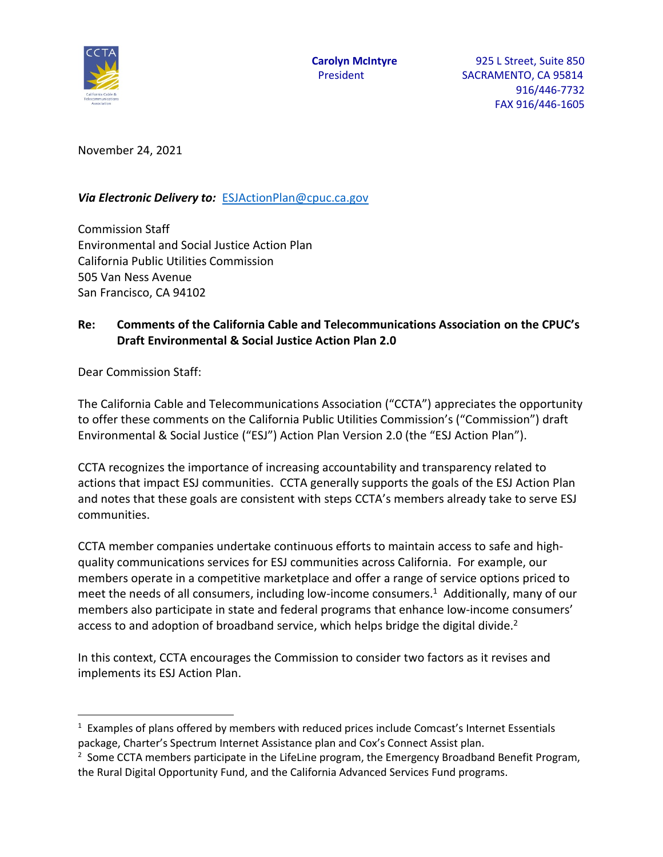

November 24, 2021

*Via Electronic Delivery to:* [ESJActionPlan@cpuc.ca.gov](mailto:ESJActionPlan@cpuc.ca.gov)

Commission Staff Environmental and Social Justice Action Plan California Public Utilities Commission 505 Van Ness Avenue San Francisco, CA 94102

## **Re: Comments of the California Cable and Telecommunications Association on the CPUC's Draft Environmental & Social Justice Action Plan 2.0**

Dear Commission Staff:

l

The California Cable and Telecommunications Association ("CCTA") appreciates the opportunity to offer these comments on the California Public Utilities Commission's ("Commission") draft Environmental & Social Justice ("ESJ") Action Plan Version 2.0 (the "ESJ Action Plan").

CCTA recognizes the importance of increasing accountability and transparency related to actions that impact ESJ communities. CCTA generally supports the goals of the ESJ Action Plan and notes that these goals are consistent with steps CCTA's members already take to serve ESJ communities.

CCTA member companies undertake continuous efforts to maintain access to safe and highquality communications services for ESJ communities across California. For example, our members operate in a competitive marketplace and offer a range of service options priced to meet the needs of all consumers, including low-income consumers. 1 Additionally, many of our members also participate in state and federal programs that enhance low-income consumers' access to and adoption of broadband service, which helps bridge the digital divide.<sup>2</sup>

In this context, CCTA encourages the Commission to consider two factors as it revises and implements its ESJ Action Plan.

 $1$  Examples of plans offered by members with reduced prices include Comcast's Internet Essentials package, Charter's Spectrum Internet Assistance plan and Cox's Connect Assist plan.

<sup>&</sup>lt;sup>2</sup> Some CCTA members participate in the LifeLine program, the Emergency Broadband Benefit Program, the Rural Digital Opportunity Fund, and the California Advanced Services Fund programs.